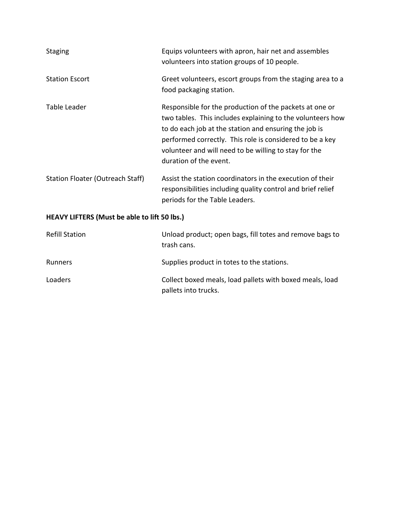| <b>Staging</b>                                      | Equips volunteers with apron, hair net and assembles<br>volunteers into station groups of 10 people.                                                                                                                                                                                                                          |  |  |  |  |  |
|-----------------------------------------------------|-------------------------------------------------------------------------------------------------------------------------------------------------------------------------------------------------------------------------------------------------------------------------------------------------------------------------------|--|--|--|--|--|
| <b>Station Escort</b>                               | Greet volunteers, escort groups from the staging area to a<br>food packaging station.                                                                                                                                                                                                                                         |  |  |  |  |  |
| Table Leader                                        | Responsible for the production of the packets at one or<br>two tables. This includes explaining to the volunteers how<br>to do each job at the station and ensuring the job is<br>performed correctly. This role is considered to be a key<br>volunteer and will need to be willing to stay for the<br>duration of the event. |  |  |  |  |  |
| <b>Station Floater (Outreach Staff)</b>             | Assist the station coordinators in the execution of their<br>responsibilities including quality control and brief relief<br>periods for the Table Leaders.                                                                                                                                                                    |  |  |  |  |  |
| <b>HEAVY LIFTERS (Must be able to lift 50 lbs.)</b> |                                                                                                                                                                                                                                                                                                                               |  |  |  |  |  |
| <b>Refill Station</b>                               | Unload product; open bags, fill totes and remove bags to<br>trash cans.                                                                                                                                                                                                                                                       |  |  |  |  |  |

| Runners | Supplies product in totes to the stations.               |  |  |  |
|---------|----------------------------------------------------------|--|--|--|
| Loaders | Collect boxed meals, load pallets with boxed meals, load |  |  |  |

pallets into trucks.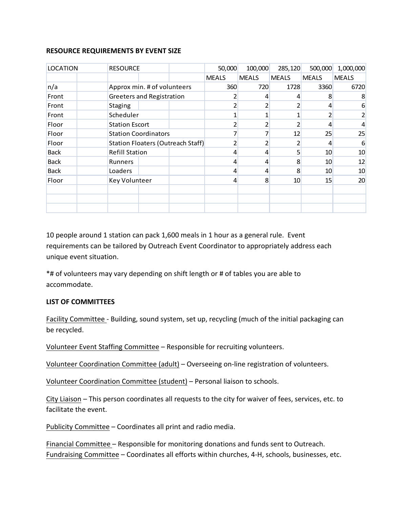## **RESOURCE REQUIREMENTS BY EVENT SIZE**

| <b>LOCATION</b> |                | <b>RESOURCE</b>                          |  | 50,000         | 100,000      | 285,120      | 500,000      | 1,000,000    |
|-----------------|----------------|------------------------------------------|--|----------------|--------------|--------------|--------------|--------------|
|                 |                |                                          |  | <b>MEALS</b>   | <b>MEALS</b> | <b>MEALS</b> | <b>MEALS</b> | <b>MEALS</b> |
| n/a             |                | Approx min. # of volunteers              |  |                | 360<br>720   | 1728         | 3360         | 6720         |
| Front           |                | <b>Greeters and Registration</b>         |  |                | 4            |              | 8            | 8            |
| Front           | <b>Staging</b> |                                          |  |                |              |              | 4            | 6            |
| Front           |                | Scheduler                                |  |                |              |              |              | 2            |
| Floor           |                | <b>Station Escort</b>                    |  |                |              |              | 4            | 4            |
| Floor           |                | <b>Station Coordinators</b>              |  |                |              | 12           | 25           | 25           |
| Floor           |                | <b>Station Floaters (Outreach Staff)</b> |  |                |              |              | 4            | 6            |
| <b>Back</b>     |                | <b>Refill Station</b>                    |  | 4              | 4            |              | 10           | 10           |
| <b>Back</b>     | Runners        |                                          |  | 4              | 4            | 8            | 10           | 12           |
| <b>Back</b>     | Loaders        |                                          |  | 4              | 4            | 8            | 10           | 10           |
| Floor           |                | Key Volunteer                            |  | $\overline{4}$ | 8            | 10           | 15           | 20           |
|                 |                |                                          |  |                |              |              |              |              |
|                 |                |                                          |  |                |              |              |              |              |
|                 |                |                                          |  |                |              |              |              |              |

10 people around 1 station can pack 1,600 meals in 1 hour as a general rule. Event requirements can be tailored by Outreach Event Coordinator to appropriately address each unique event situation.

\*# of volunteers may vary depending on shift length or # of tables you are able to accommodate.

## **LIST OF COMMITTEES**

Facility Committee - Building, sound system, set up, recycling (much of the initial packaging can be recycled.

Volunteer Event Staffing Committee – Responsible for recruiting volunteers.

Volunteer Coordination Committee (adult) – Overseeing on-line registration of volunteers.

Volunteer Coordination Committee (student) – Personal liaison to schools.

City Liaison – This person coordinates all requests to the city for waiver of fees, services, etc. to facilitate the event.

Publicity Committee – Coordinates all print and radio media.

Financial Committee – Responsible for monitoring donations and funds sent to Outreach. Fundraising Committee – Coordinates all efforts within churches, 4-H, schools, businesses, etc.